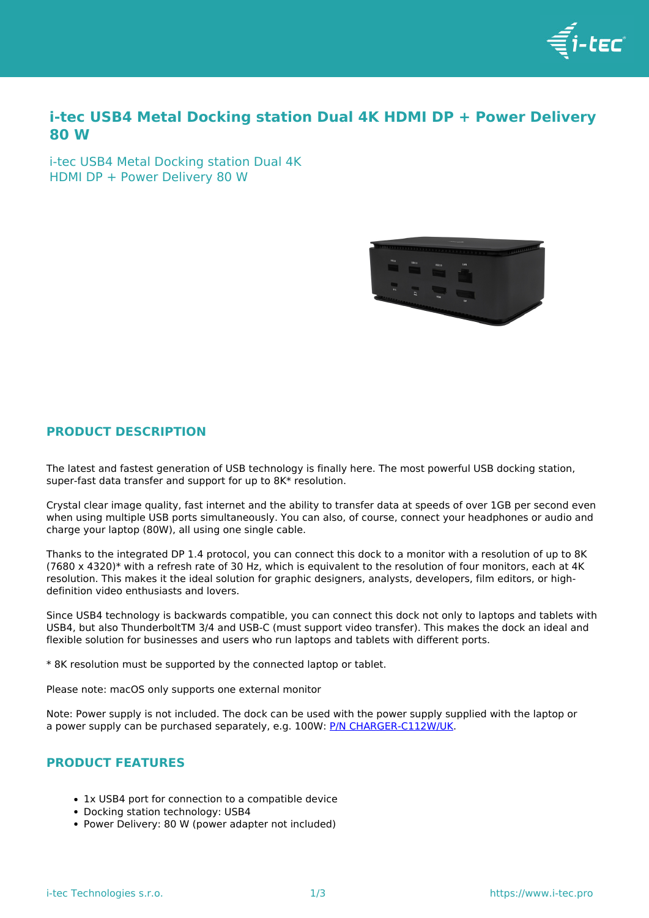

# **i-tec USB4 Metal Docking station Dual 4K HDMI DP + Power Delivery 80 W**

i-tec USB4 Metal Docking station Dual 4K HDMI DP + Power Delivery 80 W



### **PRODUCT DESCRIPTION**

The latest and fastest generation of USB technology is finally here. The most powerful USB docking station, super-fast data transfer and support for up to 8K\* resolution.

Crystal clear image quality, fast internet and the ability to transfer data at speeds of over 1GB per second even when using multiple USB ports simultaneously. You can also, of course, connect your headphones or audio and charge your laptop (80W), all using one single cable.

Thanks to the integrated DP 1.4 protocol, you can connect this dock to a monitor with a resolution of up to 8K (7680 x 4320)\* with a refresh rate of 30 Hz, which is equivalent to the resolution of four monitors, each at 4K resolution. This makes it the ideal solution for graphic designers, analysts, developers, film editors, or highdefinition video enthusiasts and lovers.

Since USB4 technology is backwards compatible, you can connect this dock not only to laptops and tablets with USB4, but also ThunderboltTM 3/4 and USB-C (must support video transfer). This makes the dock an ideal and flexible solution for businesses and users who run laptops and tablets with different ports.

\* 8K resolution must be supported by the connected laptop or tablet.

Please note: macOS only supports one external monitor

Note: Power supply is not included. The dock can be used with the power supply supplied with the laptop or a power supply can be purchased separately, e.g. 100W: [P/N CHARGER-C112W/UK.](../en/produkt/charger-c112w-2/)

# **PRODUCT FEATURES**

- 1x USB4 port for connection to a compatible device
- Docking station technology: USB4
- Power Delivery: 80 W (power adapter not included)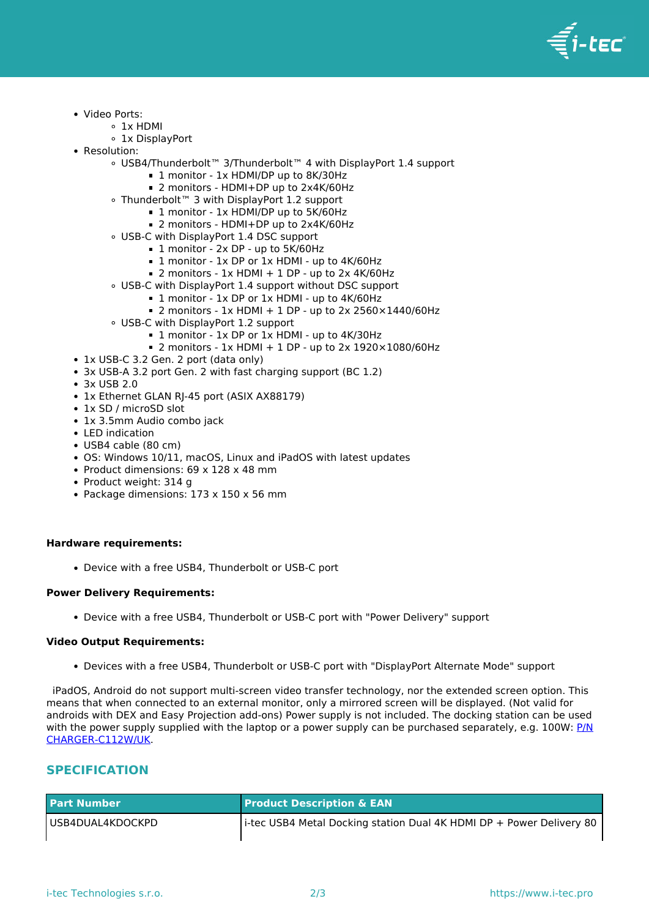

- Video Ports:
	- 1x HDMI
		- 1x DisplayPort
- Resolution:
	- USB4/Thunderbolt™ 3/Thunderbolt™ 4 with DisplayPort 1.4 support
		- 1 monitor 1x HDMI/DP up to 8K/30Hz
		- 2 monitors HDMI+DP up to 2x4K/60Hz
	- Thunderbolt™ 3 with DisplayPort 1.2 support
		- 1 monitor 1x HDMI/DP up to 5K/60Hz
		- 2 monitors HDMI+DP up to 2x4K/60Hz
	- USB-C with DisplayPort 1.4 DSC support
		- 1 monitor 2x DP up to 5K/60Hz
		- 1 monitor 1x DP or 1x HDMI up to 4K/60Hz
		- $\blacksquare$  2 monitors 1x HDMI + 1 DP up to 2x 4K/60Hz
	- USB-C with DisplayPort 1.4 support without DSC support
		- 1 monitor 1x DP or 1x HDMI up to 4K/60Hz
			- $\blacksquare$  2 monitors 1x HDMI + 1 DP up to 2x 2560×1440/60Hz
	- USB-C with DisplayPort 1.2 support
		- 1 monitor 1x DP or 1x HDMI up to 4K/30Hz
		- $\blacksquare$  2 monitors 1x HDMI + 1 DP up to 2x 1920×1080/60Hz
- 1x USB-C 3.2 Gen. 2 port (data only)
- 3x USB-A 3.2 port Gen. 2 with fast charging support (BC 1.2)
- 3x USB 2.0
- 1x Ethernet GLAN RJ-45 port (ASIX AX88179)
- 1x SD / microSD slot
- 1x 3.5mm Audio combo jack
- LED indication
- USB4 cable (80 cm)
- OS: Windows 10/11, macOS, Linux and iPadOS with latest updates
- Product dimensions:  $69 \times 128 \times 48$  mm
- Product weight: 314 g
- Package dimensions: 173 x 150 x 56 mm

#### **Hardware requirements:**

Device with a free USB4, Thunderbolt or USB-C port

### **Power Delivery Requirements:**

Device with a free USB4, Thunderbolt or USB-C port with "Power Delivery" support

### **Video Output Requirements:**

Devices with a free USB4, Thunderbolt or USB-C port with "DisplayPort Alternate Mode" support

 iPadOS, Android do not support multi-screen video transfer technology, nor the extended screen option. This means that when connected to an external monitor, only a mirrored screen will be displayed. (Not valid for androids with DEX and Easy Projection add-ons) Power supply is not included. The docking station can be used with the power supply supplied with the laptop or a power supply can be purchased separately, e.g. 100W: [P/N](../en/produkt/charger-c112w-2/) [CHARGER-C112W/UK](../en/produkt/charger-c112w-2/).

## **SPECIFICATION**

| <b>Part Number</b>  | <b>Product Description &amp; EAN</b>                                 |
|---------------------|----------------------------------------------------------------------|
| l USB4DUAL4KDOCKPD_ | i-tec USB4 Metal Docking station Dual 4K HDMI DP + Power Delivery 80 |